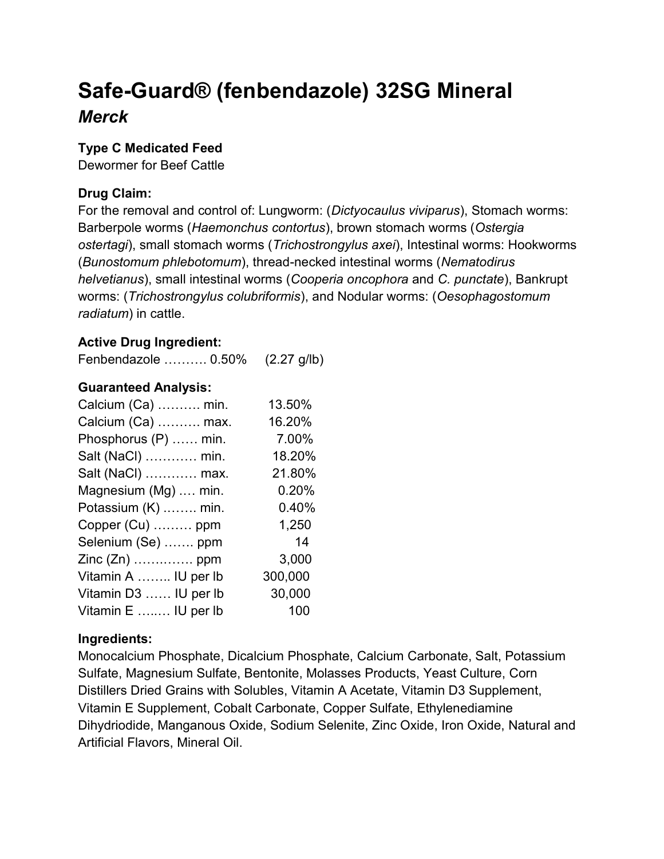# Safe-Guard® (fenbendazole) 32SG Mineral Merck

### Type C Medicated Feed

Dewormer for Beef Cattle

## Drug Claim:

For the removal and control of: Lungworm: (Dictyocaulus viviparus), Stomach worms: Barberpole worms (Haemonchus contortus), brown stomach worms (Ostergia ostertagi), small stomach worms (Trichostrongylus axei), Intestinal worms: Hookworms (Bunostomum phlebotomum), thread-necked intestinal worms (Nematodirus helvetianus), small intestinal worms (Cooperia oncophora and C. punctate), Bankrupt worms: (Trichostrongylus colubriformis), and Nodular worms: (Oesophagostomum radiatum) in cattle.

## Active Drug Ingredient:

Fenbendazole ………. 0.50% (2.27 g/lb)

#### Guaranteed Analysis:

| Calcium (Ca)  min.    | 13.50%  |
|-----------------------|---------|
| Calcium (Ca)  max.    | 16.20%  |
| Phosphorus (P)  min.  | 7.00%   |
| Salt (NaCl)  min.     | 18.20%  |
| Salt (NaCl)  max.     | 21.80%  |
| Magnesium (Mg)  min.  | 0.20%   |
| Potassium (K)  min.   | 0.40%   |
| Copper (Cu)  ppm      | 1,250   |
| Selenium (Se)  ppm    | 14      |
| Zinc (Zn)  ppm        | 3,000   |
| Vitamin A  IU per lb  | 300,000 |
| Vitamin D3  IU per lb | 30,000  |
| Vitamin E  IU per lb  | 100     |

#### Ingredients:

Monocalcium Phosphate, Dicalcium Phosphate, Calcium Carbonate, Salt, Potassium Sulfate, Magnesium Sulfate, Bentonite, Molasses Products, Yeast Culture, Corn Distillers Dried Grains with Solubles, Vitamin A Acetate, Vitamin D3 Supplement, Vitamin E Supplement, Cobalt Carbonate, Copper Sulfate, Ethylenediamine Dihydriodide, Manganous Oxide, Sodium Selenite, Zinc Oxide, Iron Oxide, Natural and Artificial Flavors, Mineral Oil.